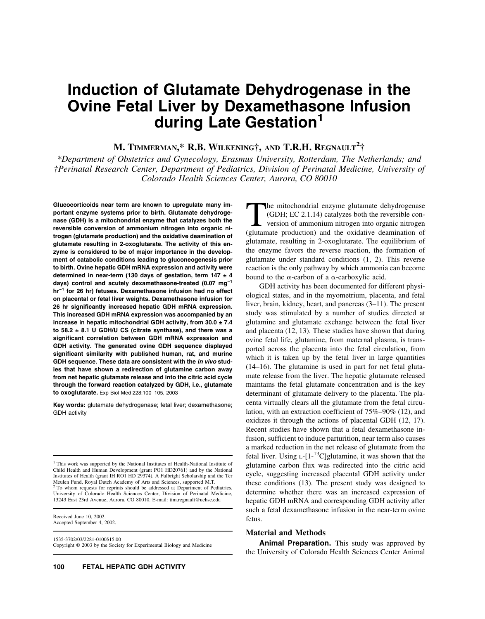# **Induction of Glutamate Dehydrogenase in the Ovine Fetal Liver by Dexamethasone Infusion during Late Gestation1**

## **M. TIMMERMAN,\* R.B. WILKENING†, AND T.R.H. REGNAULT2 †**

*\*Department of Obstetrics and Gynecology, Erasmus University, Rotterdam, The Netherlands; and †Perinatal Research Center, Department of Pediatrics, Division of Perinatal Medicine, University of Colorado Health Sciences Center, Aurora, CO 80010*

**Glucocorticoids near term are known to upregulate many important enzyme systems prior to birth. Glutamate dehydrogenase (GDH) is a mitochondrial enzyme that catalyzes both the reversible conversion of ammonium nitrogen into organic nitrogen (glutamate production) and the oxidative deamination of glutamate resulting in 2-oxoglutarate. The activity of this enzyme is considered to be of major importance in the development of catabolic conditions leading to gluconeogenesis prior to birth. Ovine hepatic GDH mRNA expression and activity were determined in near-term (130 days of gestation, term 147 ± 4 days) control and acutely dexamethasone-treated (0.07 mg−1 hr−1 for 26 hr) fetuses. Dexamethasone infusion had no effect on placental or fetal liver weights. Dexamethasone infusion for 26 hr significantly increased hepatic GDH mRNA expression. This increased GDH mRNA expression was accompanied by an increase in hepatic mitochondrial GDH activity, from 30.0 ± 7.4 to 58.2 ± 8.1 U GDH/U CS (citrate synthase), and there was a significant correlation between GDH mRNA expression and GDH activity. The generated ovine GDH sequence displayed significant similarity with published human, rat, and murine GDH sequence. These data are consistent with the** *in vivo* **studies that have shown a redirection of glutamine carbon away from net hepatic glutamate release and into the citric acid cycle through the forward reaction catalyzed by GDH, i.e., glutamate to oxoglutarate.** Exp Biol Med 228:100–105, 2003

**Key words:** glutamate dehydrogenase; fetal liver; dexamethasone; GDH activity

<sup>1</sup> This work was supported by the National Institutes of Health-National Institute of Child Health and Human Development (grant PO1 HD20761) and by the National Institutes of Health (grant IH RO1 HD 29374). A Fulbright Scholarship and the Ter Meulen Fund, Royal Dutch Academy of Arts and Sciences, supported M.T. <sup>2</sup> To whom requests for reprints should be addressed at Department of Pediatrics, University of Colorado Health Sciences Center, Division of Perinatal Medicine, 13243 East 23rd Avenue, Aurora, CO 80010. E-mail: tim.regnault@uchsc.edu

Received June 10, 2002. Accepted September 4, 2002.

1535-3702/03/2281-0100\$15.00 Copyright © 2003 by the Society for Experimental Biology and Medicine

The mitochondrial enzyme glutamate dehydrogenase (GDH; EC 2.1.14) catalyzes both the reversible conversion of ammonium nitrogen into organic nitrogen (glutamate production) and the oxidative deamination of glutamate, resulting in 2-oxoglutarate. The equilibrium of the enzyme favors the reverse reaction, the formation of glutamate under standard conditions (1, 2). This reverse reaction is the only pathway by which ammonia can become bound to the  $\alpha$ -carbon of a  $\alpha$ -carboxylic acid.

GDH activity has been documented for different physiological states, and in the myometrium, placenta, and fetal liver, brain, kidney, heart, and pancreas (3–11). The present study was stimulated by a number of studies directed at glutamine and glutamate exchange between the fetal liver and placenta (12, 13). These studies have shown that during ovine fetal life, glutamine, from maternal plasma, is transported across the placenta into the fetal circulation, from which it is taken up by the fetal liver in large quantities (14–16). The glutamine is used in part for net fetal glutamate release from the liver. The hepatic glutamate released maintains the fetal glutamate concentration and is the key determinant of glutamate delivery to the placenta. The placenta virtually clears all the glutamate from the fetal circulation, with an extraction coefficient of 75%–90% (12), and oxidizes it through the actions of placental GDH (12, 17). Recent studies have shown that a fetal dexamethasone infusion, sufficient to induce parturition, near term also causes a marked reduction in the net release of glutamate from the fetal liver. Using  $L$ -[1-<sup>13</sup>C]glutamine, it was shown that the glutamine carbon flux was redirected into the citric acid cycle, suggesting increased placental GDH activity under these conditions (13). The present study was designed to determine whether there was an increased expression of hepatic GDH mRNA and corresponding GDH activity after such a fetal dexamethasone infusion in the near-term ovine fetus.

### **Material and Methods**

**Animal Preparation.** This study was approved by the University of Colorado Health Sciences Center Animal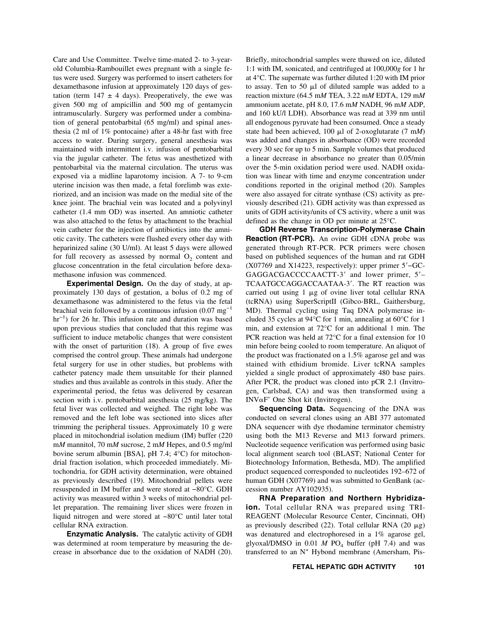Care and Use Committee. Twelve time-mated 2- to 3-yearold Columbia-Rambouillet ewes pregnant with a single fetus were used. Surgery was performed to insert catheters for dexamethasone infusion at approximately 120 days of gestation (term  $147 \pm 4$  days). Preoperatively, the ewe was given 500 mg of ampicillin and 500 mg of gentamycin intramuscularly. Surgery was performed under a combination of general pentobarbital (65 mg/ml) and spinal anesthesia (2 ml of 1% pontocaine) after a 48-hr fast with free access to water. During surgery, general anesthesia was maintained with intermittent i.v. infusion of pentobarbital via the jugular catheter. The fetus was anesthetized with pentobarbital via the maternal circulation. The uterus was exposed via a midline laparotomy incision. A 7- to 9-cm uterine incision was then made, a fetal forelimb was exteriorized, and an incision was made on the medial site of the knee joint. The brachial vein was located and a polyvinyl catheter (1.4 mm OD) was inserted. An amniotic catheter was also attached to the fetus by attachment to the brachial vein catheter for the injection of antibiotics into the amniotic cavity. The catheters were flushed every other day with heparinized saline (30 U/ml). At least 5 days were allowed for full recovery as assessed by normal  $O<sub>2</sub>$  content and glucose concentration in the fetal circulation before dexamethasone infusion was commenced.

**Experimental Design.** On the day of study, at approximately 130 days of gestation, a bolus of 0.2 mg of dexamethasone was administered to the fetus via the fetal brachial vein followed by a continuous infusion  $(0.07 \text{ mg}^{-1})$ hr<sup>-1</sup>) for 26 hr. This infusion rate and duration was based upon previous studies that concluded that this regime was sufficient to induce metabolic changes that were consistent with the onset of parturition (18). A group of five ewes comprised the control group. These animals had undergone fetal surgery for use in other studies, but problems with catheter patency made them unsuitable for their planned studies and thus available as controls in this study. After the experimental period, the fetus was delivered by cesarean section with i.v. pentobarbital anesthesia (25 mg/kg). The fetal liver was collected and weighed. The right lobe was removed and the left lobe was sectioned into slices after trimming the peripheral tissues. Approximately 10 g were placed in mitochondrial isolation medium (IM) buffer (220 m*M* mannitol, 70 m*M* sucrose, 2 m*M* Hepes, and 0.5 mg/ml bovine serum albumin [BSA], pH 7.4; 4°C) for mitochondrial fraction isolation, which proceeded immediately. Mitochondria, for GDH activity determination, were obtained as previously described (19). Mitochondrial pellets were resuspended in IM buffer and were stored at −80°C. GDH activity was measured within 3 weeks of mitochondrial pellet preparation. The remaining liver slices were frozen in liquid nitrogen and were stored at −80°C until later total cellular RNA extraction.

**Enzymatic Analysis.** The catalytic activity of GDH was determined at room temperature by measuring the decrease in absorbance due to the oxidation of NADH (20). Briefly, mitochondrial samples were thawed on ice, diluted 1:1 with IM, sonicated, and centrifuged at 100,000*g* for 1 hr at 4°C. The supernate was further diluted 1:20 with IM prior to assay. Ten to 50  $\mu$ l of diluted sample was added to a reaction mixture (64.5 m*M* TEA, 3.22 m*M* EDTA, 129 m*M* ammonium acetate, pH 8.0, 17.6 m*M* NADH, 96 m*M* ADP, and 160 kU/l LDH). Absorbance was read at 339 nm until all endogenous pyruvate had been consumed. Once a steady state had been achieved, 100  $\mu$ l of 2-oxoglutarate (7 mM) was added and changes in absorbance (OD) were recorded every 30 sec for up to 5 min. Sample volumes that produced a linear decrease in absorbance no greater than 0.05/min over the 5-min oxidation period were used. NADH oxidation was linear with time and enzyme concentration under conditions reported in the original method (20). Samples were also assayed for citrate synthase (CS) activity as previously described (21). GDH activity was than expressed as units of GDH activity/units of CS activity, where a unit was defined as the change in OD per minute at 25°C.

**GDH Reverse Transcription-Polymerase Chain Reaction (RT-PCR).** An ovine GDH cDNA probe was generated through RT-PCR. PCR primers were chosen based on published sequences of the human and rat GDH (X07769 and X14223, respectively): upper primer 5−GC-GAGGACGACCCCAACTT-3' and lower primer, 5'-TCAATGCCAGGACCAATAA-3'. The RT reaction was carried out using  $1 \mu g$  of ovine liver total cellular RNA (tcRNA) using SuperScriptII (Gibco-BRL, Gaithersburg, MD). Thermal cycling using Taq DNA polymerase included 35 cycles at 94°C for 1 min, annealing at 60°C for 1 min, and extension at 72°C for an additional 1 min. The PCR reaction was held at 72°C for a final extension for 10 min before being cooled to room temperature. An aliquot of the product was fractionated on a 1.5% agarose gel and was stained with ethidium bromide. Liver tcRNA samples yielded a single product of approximately 480 base pairs. After PCR, the product was cloned into pCR 2.1 (Invitrogen, Carlsbad, CA) and was then transformed using a INV $\alpha$ F' One Shot kit (Invitrogen).

**Sequencing Data.** Sequencing of the DNA was conducted on several clones using an ABI 377 automated DNA sequencer with dye rhodamine terminator chemistry using both the M13 Reverse and M13 forward primers. Nucleotide sequence verification was performed using basic local alignment search tool (BLAST; National Center for Biotechnology Information, Bethesda, MD). The amplified product sequenced corresponded to nucleotides 192–672 of human GDH (X07769) and was submitted to GenBank (accession number AY102935).

**RNA Preparation and Northern Hybridizaion.** Total cellular RNA was prepared using TRI-REAGENT (Molecular Resource Center, Cincinnati, OH) as previously described (22). Total cellular RNA (20  $\mu$ g) was denatured and electrophoresed in a 1% agarose gel, glyoxal/DMSO in  $0.01$  *M* PO<sub>4</sub> buffer (pH 7.4) and was transferred to an  $N^+$  Hybond membrane (Amersham, Pis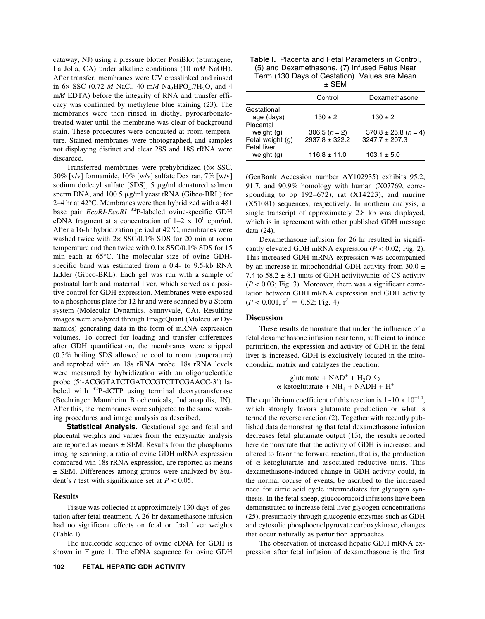cataway, NJ) using a pressure blotter PosiBlot (Stratagene, La Jolla, CA) under alkaline conditions (10 m*M* NaOH). After transfer, membranes were UV crosslinked and rinsed in 6 $\times$  SSC (0.72 *M* NaCl, 40 m*M* Na<sub>2</sub>HPO<sub>4</sub>.7H<sub>2</sub>O, and 4 m*M* EDTA) before the integrity of RNA and transfer efficacy was confirmed by methylene blue staining (23). The membranes were then rinsed in diethyl pyrocarbonatetreated water until the membrane was clear of background stain. These procedures were conducted at room temperature. Stained membranes were photographed, and samples not displaying distinct and clear 28S and 18S rRNA were discarded.

Transferred membranes were prehybridized (6× SSC, 50% [v/v] formamide, 10% [w/v] sulfate Dextran, 7% [w/v] sodium dodecyl sulfate [SDS], 5 µg/ml denatured salmon sperm DNA, and 100 5 µg/ml yeast tRNA (Gibco-BRL) for 2–4 hr at 42°C. Membranes were then hybridized with a 481 base pair *EcoRI-EcoRI* 32P-labeled ovine-specific GDH cDNA fragment at a concentration of  $1-2 \times 10^6$  cpm/ml. After a 16-hr hybridization period at 42°C, membranes were washed twice with 2× SSC/0.1% SDS for 20 min at room temperature and then twice with 0.1× SSC/0.1% SDS for 15 min each at 65°C. The molecular size of ovine GDHspecific band was estimated from a 0.4- to 9.5-kb RNA ladder (Gibco-BRL). Each gel was run with a sample of postnatal lamb and maternal liver, which served as a positive control for GDH expression. Membranes were exposed to a phosphorus plate for 12 hr and were scanned by a Storm system (Molecular Dynamics, Sunnyvale, CA). Resulting images were analyzed through ImageQuant (Molecular Dynamics) generating data in the form of mRNA expression volumes. To correct for loading and transfer differences after GDH quantification, the membranes were stripped (0.5% boiling SDS allowed to cool to room temperature) and reprobed with an 18s rRNA probe. 18s rRNA levels were measured by hybridization with an oligonucleotide probe (5-ACGGTATCTGATCCGTCTTCGAACC-3) labeled with  $32P$ -dCTP using terminal deoxytransferase (Boehringer Mannheim Biochemicals, Indianapolis, IN). After this, the membranes were subjected to the same washing procedures and image analysis as described.

**Statistical Analysis.** Gestational age and fetal and placental weights and values from the enzymatic analysis are reported as means  $\pm$  SEM. Results from the phosphorus imaging scanning, a ratio of ovine GDH mRNA expression compared wih 18s rRNA expression, are reported as means ± SEM. Differences among groups were analyzed by Student's *t* test with significance set at  $P < 0.05$ .

#### **Results**

Tissue was collected at approximately 130 days of gestation after fetal treatment. A 26-hr dexamethasone infusion had no significant effects on fetal or fetal liver weights (Table I).

The nucleotide sequence of ovine cDNA for GDH is shown in Figure 1. The cDNA sequence for ovine GDH

| Table I. Placenta and Fetal Parameters in Control, |
|----------------------------------------------------|
| (5) and Dexamethasone, (7) Infused Fetus Near      |
| Term (130 Days of Gestation). Values are Mean      |
|                                                    |

|                                               | Control                               | Dexamethasone                                |
|-----------------------------------------------|---------------------------------------|----------------------------------------------|
| Gestational<br>age (days)                     | $130 \pm 2$                           | $130 \pm 2$                                  |
| Placental<br>weight $(g)$<br>Fetal weight (g) | 306.5 $(n = 2)$<br>$2937.8 \pm 322.2$ | $370.8 \pm 25.8$ (n = 4)<br>$3247.7 + 207.3$ |
| Fetal liver<br>weight (g)                     | $116.8 \pm 11.0$                      | $103.1 \pm 5.0$                              |

(GenBank Accession number AY102935) exhibits 95.2, 91.7, and 90.9% homology with human (X07769, corresponding to bp  $192-672$ , rat  $(X14223)$ , and murine (X51081) sequences, respectively. In northern analysis, a single transcript of approximately 2.8 kb was displayed, which is in agreement with other published GDH message data (24).

Dexamethasone infusion for 26 hr resulted in significantly elevated GDH mRNA expression  $(P < 0.02$ ; Fig. 2). This increased GDH mRNA expression was accompanied by an increase in mitochondrial GDH activity from  $30.0 \pm$ 7.4 to  $58.2 \pm 8.1$  units of GDH activity/units of CS activity  $(P < 0.03$ ; Fig. 3). Moreover, there was a significant correlation between GDH mRNA expression and GDH activity  $(P < 0.001, r^2 = 0.52;$  Fig. 4).

#### **Discussion**

These results demonstrate that under the influence of a fetal dexamethasone infusion near term, sufficient to induce parturition, the expression and activity of GDH in the fetal liver is increased. GDH is exclusively located in the mitochondrial matrix and catalyzes the reaction:

> glutamate + NAD<sup>+</sup> + H<sub>2</sub>O  $\leftrightarrows$  $\alpha$ -ketoglutarate + NH<sub>4</sub> + NADH + H<sup>+</sup>

The equilibrium coefficient of this reaction is  $1~10 \times 10^{-14}$ , which strongly favors glutamate production or what is termed the reverse reaction (2). Together with recently published data demonstrating that fetal dexamethasone infusion decreases fetal glutamate output (13), the results reported here demonstrate that the activity of GDH is increased and altered to favor the forward reaction, that is, the production of  $\alpha$ -ketoglutarate and associated reductive units. This dexamethasone-induced change in GDH activity could, in the normal course of events, be ascribed to the increased need for citric acid cycle intermediates for glycogen synthesis. In the fetal sheep, glucocorticoid infusions have been demonstrated to increase fetal liver glycogen concentrations (25), presumably through glucogenic enzymes such as GDH and cytosolic phosphoenolpyruvate carboxykinase, changes that occur naturally as parturition approaches.

The observation of increased hepatic GDH mRNA expression after fetal infusion of dexamethasone is the first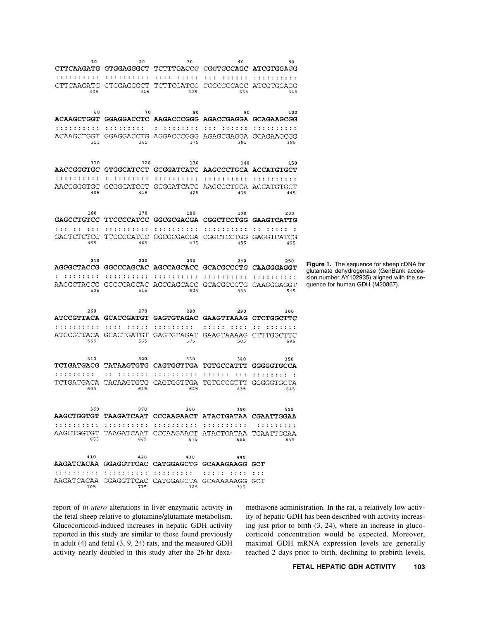| 10                             | 20<br>CTTCAAGATG GTGGAGGGCT TCTTTGACCG CGGTGCCAGC ATCGTGGAGG | 30                                                | 40                           | 50                |                                                                              |
|--------------------------------|--------------------------------------------------------------|---------------------------------------------------|------------------------------|-------------------|------------------------------------------------------------------------------|
| .                              | .                                                            | 11 I I I<br>.                                     | .<br>.                       | .                 |                                                                              |
| CTTCAAGATG                     | GTGGAGGGCT                                                   | TCTTCGATCG                                        | CGGCGCCAGC                   | ATCGTGGAGG        |                                                                              |
| 305                            | 315                                                          | 325                                               | 335                          | 345               |                                                                              |
|                                |                                                              |                                                   |                              |                   |                                                                              |
| 60<br><b>ACAAGCTGGT</b>        | 70                                                           | 80<br>GGAGGACCTC AAGACCCGGG AGACCGAGGA GCAGAAGCGG | 90                           | 100               |                                                                              |
| : : : : : : : : : :            | .                                                            | .                                                 | .<br>.                       | .                 |                                                                              |
| ACAAGCTGGT                     | GGAGGACCTG                                                   | AGGACCCGGG AGAGCGAGGA                             |                              | GCAGAAGCGG        |                                                                              |
| 355                            | 365                                                          | 375                                               | 385                          | 395               |                                                                              |
| 110                            | 120                                                          | 130                                               | 140                          | 150               |                                                                              |
|                                | AACCGGGTGC GTGGCATCCT GCGGATCATC AAGCCCTGCA ACCATGTGCT       |                                                   |                              |                   |                                                                              |
| : : : : : : : : : :            | .                                                            | : : : : : : : : : :                               | : : : : : : : : : :          |                   |                                                                              |
| AACCGGGTGC<br>405              | GCGGCATCCT<br>415                                            | GCGGATCATC<br>425                                 | AAGCCCTGCA<br>435            | ACCATGTGCT<br>445 |                                                                              |
|                                |                                                              |                                                   |                              |                   |                                                                              |
| 160                            | 170                                                          | 180                                               | 190                          | 200               |                                                                              |
| <b>GAGCCTGTCC</b>              |                                                              | TTCCCCATCC GGCGCGACGA CGGCTCCTGG GAAGTCATTG       |                              |                   |                                                                              |
| .<br>$\sim$ $\sim$<br><b>.</b> | : : : : : : : : : :                                          | .                                                 | .                            | $\mathbf{1}$<br>. |                                                                              |
| GAGTCTCTCC<br>455              | TTCCCCATCC<br>465                                            | 475                                               | GGCGCGACGA CGGCTCCTGG<br>485 | GAGGTCATCG<br>495 |                                                                              |
|                                |                                                              |                                                   |                              |                   |                                                                              |
| 210                            | 220                                                          | 230                                               | 240                          | 250               | <b>Figure 1.</b> The sequence for sheep cDNA for                             |
|                                | AGGGCTACCG GGCCCAGCAC AGCCAGCACC GCACGCCCTG CAAGGGAGGT       |                                                   |                              |                   | glutamate dehydrogenase (GenBank acces-                                      |
| .<br>AAGGCTACCG                | : : : : : : : : : :<br>GGCCCAGCAC                            | .<br>AGCCAGCACC                                   | .<br>.<br>GCACGCCCTG         | .<br>CAAGGGAGGT   | sion number AY102935) aligned with the se-<br>quence for human GDH (M20867). |
| 505                            | 515                                                          | 525                                               | 535                          | 545               |                                                                              |
|                                |                                                              |                                                   |                              |                   |                                                                              |
| 260                            | 270<br>ATCCGTTACA GCACCGATGT                                 | 280<br><b>GAGTGTAGAC</b>                          | 290<br>GAAGTTAAAG            | 300<br>CTCTGGCTTC |                                                                              |
| .                              | .<br>.                                                       | : : : : : : : : :                                 | : : : : :<br>.               | ÷ ÷<br>.          |                                                                              |
|                                | ATCCGTTACA GCACTGATGT                                        | GAGTGTAGAT                                        | GAAGTAAAAG                   | CTTTGGCTTC        |                                                                              |
| 555                            | 565                                                          | 575                                               | 585                          | 595               |                                                                              |
| 310                            | 320                                                          | 330                                               | 340                          | 350               |                                                                              |
|                                | TCTGATGACG TATAAGTGTG                                        | CAGTGGTTGA                                        | TGTGCCATTT                   | <b>GGGGGTGCCA</b> |                                                                              |
| .                              | .                                                            | : : :<br>.<br>-7                                  | : :<br>: : :                 | - 1               |                                                                              |
| TCTGATGACA<br>605              | TACAAGTGTG<br>615                                            | CAGTGGTTGA<br>625                                 | TGTGCCGTTT<br>635            | GGGGGTGCTA<br>645 |                                                                              |
|                                |                                                              |                                                   |                              |                   |                                                                              |
| 360                            | 370                                                          | 380                                               | 390                          | 400               |                                                                              |
|                                | AAGCTGGTGT TAAGATCAAT CCCAAGAACT ATACTGATAA CGAATTGGAA       |                                                   |                              |                   |                                                                              |
|                                | AAGCTGGTGT TAAGATCAAT CCCAAGAACT ATACTGATAA TGAATTGGAA       |                                                   |                              | .                 |                                                                              |
| 655                            | 665                                                          | 675                                               | 685                          | 695               |                                                                              |
|                                |                                                              |                                                   |                              |                   |                                                                              |
| 410                            | 420<br>AAGATCACAA GGAGGTTCAC CATGGAGCTG GCAAAGAAGG GCT       | 430                                               | 440                          |                   |                                                                              |
| .                              |                                                              |                                                   | .                            |                   |                                                                              |
|                                | AAGATCACAA GGAGGTTCAC CATGGAGCTA GCAAAAAAGG GCT              |                                                   |                              |                   |                                                                              |
| 705                            | 715                                                          | 725                                               | 735                          |                   |                                                                              |

report of *in utero* alterations in liver enzymatic activity in the fetal sheep relative to glutamine/glutamate metabolism. Glucocorticoid-induced increases in hepatic GDH activity reported in this study are similar to those found previously in adult (4) and fetal (3, 9, 24) rats, and the measured GDH activity nearly doubled in this study after the 26-hr dexamethasone administration. In the rat, a relatively low activity of hepatic GDH has been described with activity increasing just prior to birth (3, 24), where an increase in glucocorticoid concentration would be expected. Moreover, maximal GDH mRNA expression levels are generally reached 2 days prior to birth, declining to prebirth levels,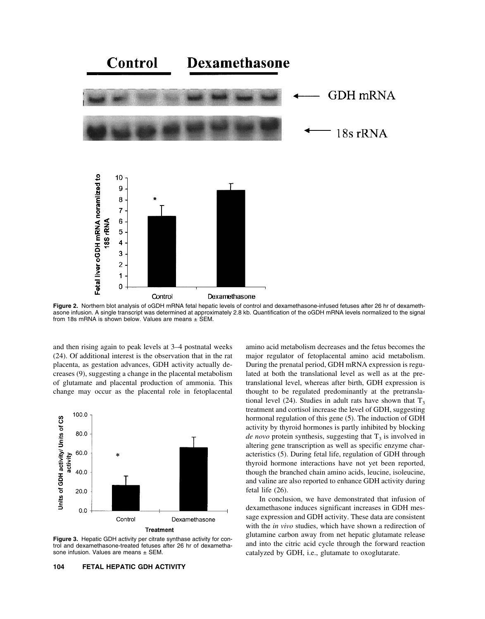

**Figure 2.** Northern blot analysis of oGDH mRNA fetal hepatic levels of control and dexamethasone-infused fetuses after 26 hr of dexamethasone infusion. A single transcript was determined at approximately 2.8 kb. Quantification of the oGDH mRNA levels normalized to the signal from 18s mRNA is shown below. Values are means  $\pm$  SEM.

and then rising again to peak levels at 3–4 postnatal weeks (24). Of additional interest is the observation that in the rat placenta, as gestation advances, GDH activity actually decreases (9), suggesting a change in the placental metabolism of glutamate and placental production of ammonia. This change may occur as the placental role in fetoplacental



**Figure 3.** Hepatic GDH activity per citrate synthase activity for control and dexamethasone-treated fetuses after 26 hr of dexamethasone infusion. Values are means  $\pm$  SEM.

amino acid metabolism decreases and the fetus becomes the major regulator of fetoplacental amino acid metabolism. During the prenatal period, GDH mRNA expression is regulated at both the translational level as well as at the pretranslational level, whereas after birth, GDH expression is thought to be regulated predominantly at the pretranslational level (24). Studies in adult rats have shown that  $T_3$ treatment and cortisol increase the level of GDH, suggesting hormonal regulation of this gene (5). The induction of GDH activity by thyroid hormones is partly inhibited by blocking *de novo* protein synthesis, suggesting that  $T_3$  is involved in altering gene transcription as well as specific enzyme characteristics (5). During fetal life, regulation of GDH through thyroid hormone interactions have not yet been reported, though the branched chain amino acids, leucine, isoleucine, and valine are also reported to enhance GDH activity during fetal life (26).

In conclusion, we have demonstrated that infusion of dexamethasone induces significant increases in GDH message expression and GDH activity. These data are consistent with the *in vivo* studies, which have shown a redirection of glutamine carbon away from net hepatic glutamate release and into the citric acid cycle through the forward reaction catalyzed by GDH, i.e., glutamate to oxoglutarate.